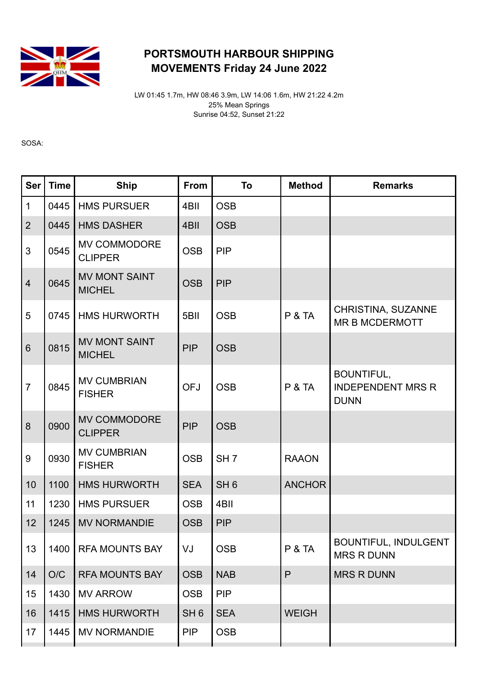

## PORTSMOUTH HARBOUR SHIPPING MOVEMENTS Friday 24 June 2022

LW 01:45 1.7m, HW 08:46 3.9m, LW 14:06 1.6m, HW 21:22 4.2m 25% Mean Springs Sunrise 04:52, Sunset 21:22

SOSA:

| <b>Ser</b>     | <b>Time</b> | <b>Ship</b>                           | From            | To              | <b>Method</b>     | <b>Remarks</b>                                               |  |
|----------------|-------------|---------------------------------------|-----------------|-----------------|-------------------|--------------------------------------------------------------|--|
| $\overline{1}$ | 0445        | <b>HMS PURSUER</b>                    | 4BII            | <b>OSB</b>      |                   |                                                              |  |
| $\overline{2}$ | 0445        | <b>HMS DASHER</b>                     | 4BII            | <b>OSB</b>      |                   |                                                              |  |
| $\mathfrak{S}$ | 0545        | MV COMMODORE<br><b>CLIPPER</b>        | <b>OSB</b>      | <b>PIP</b>      |                   |                                                              |  |
| $\overline{4}$ | 0645        | <b>MV MONT SAINT</b><br><b>MICHEL</b> | <b>OSB</b>      | <b>PIP</b>      |                   |                                                              |  |
| 5              | 0745        | <b>HMS HURWORTH</b>                   | 5BII            | <b>OSB</b>      | <b>P &amp; TA</b> | CHRISTINA, SUZANNE<br><b>MR B MCDERMOTT</b>                  |  |
| $6\phantom{1}$ | 0815        | <b>MV MONT SAINT</b><br><b>MICHEL</b> | <b>PIP</b>      | <b>OSB</b>      |                   |                                                              |  |
| $\overline{7}$ | 0845        | <b>MV CUMBRIAN</b><br><b>FISHER</b>   | <b>OFJ</b>      | <b>OSB</b>      | <b>P &amp; TA</b> | <b>BOUNTIFUL,</b><br><b>INDEPENDENT MRS R</b><br><b>DUNN</b> |  |
| 8              | 0900        | <b>MV COMMODORE</b><br><b>CLIPPER</b> | <b>PIP</b>      | <b>OSB</b>      |                   |                                                              |  |
| $9\,$          | 0930        | <b>MV CUMBRIAN</b><br><b>FISHER</b>   | <b>OSB</b>      | SH <sub>7</sub> | <b>RAAON</b>      |                                                              |  |
| 10             | 1100        | <b>HMS HURWORTH</b>                   | <b>SEA</b>      | SH <sub>6</sub> | <b>ANCHOR</b>     |                                                              |  |
| 11             | 1230        | <b>HMS PURSUER</b>                    | <b>OSB</b>      | 4BII            |                   |                                                              |  |
| 12             | 1245        | <b>MV NORMANDIE</b>                   | <b>OSB</b>      | <b>PIP</b>      |                   |                                                              |  |
| 13             | 1400        | <b>RFA MOUNTS BAY</b>                 | VJ              | <b>OSB</b>      | <b>P &amp; TA</b> | <b>BOUNTIFUL, INDULGENT</b><br><b>MRS R DUNN</b>             |  |
| 14             | O/C         | <b>RFA MOUNTS BAY</b>                 | <b>OSB</b>      | <b>NAB</b>      | $\mathsf{P}$      | <b>MRS R DUNN</b>                                            |  |
| 15             | 1430        | <b>MV ARROW</b>                       | <b>OSB</b>      | <b>PIP</b>      |                   |                                                              |  |
| 16             | 1415        | <b>HMS HURWORTH</b>                   | SH <sub>6</sub> | <b>SEA</b>      | <b>WEIGH</b>      |                                                              |  |
| 17             | 1445        | <b>MV NORMANDIE</b>                   | <b>PIP</b>      | <b>OSB</b>      |                   |                                                              |  |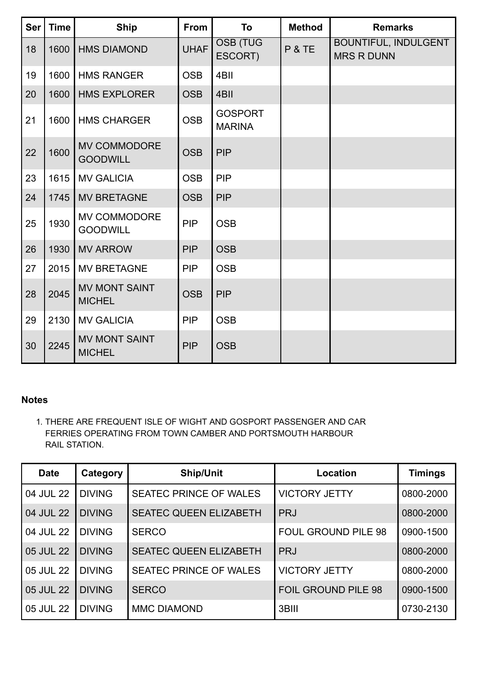| <b>Ser</b> | <b>Time</b> | <b>Ship</b>                           | From        | To                              | <b>Method</b> | <b>Remarks</b>                                   |  |
|------------|-------------|---------------------------------------|-------------|---------------------------------|---------------|--------------------------------------------------|--|
| 18         | 1600        | <b>HMS DIAMOND</b>                    | <b>UHAF</b> | <b>OSB (TUG</b><br>ESCORT)      | P & TE        | <b>BOUNTIFUL, INDULGENT</b><br><b>MRS R DUNN</b> |  |
| 19         | 1600        | <b>HMS RANGER</b>                     | <b>OSB</b>  | 4BII                            |               |                                                  |  |
| 20         | 1600        | <b>HMS EXPLORER</b>                   | <b>OSB</b>  | 4BII                            |               |                                                  |  |
| 21         | 1600        | <b>HMS CHARGER</b>                    | <b>OSB</b>  | <b>GOSPORT</b><br><b>MARINA</b> |               |                                                  |  |
| 22         | 1600        | MV COMMODORE<br><b>GOODWILL</b>       | <b>OSB</b>  | <b>PIP</b>                      |               |                                                  |  |
| 23         | 1615        | <b>MV GALICIA</b>                     | <b>OSB</b>  | PIP                             |               |                                                  |  |
| 24         | 1745        | <b>MV BRETAGNE</b>                    | <b>OSB</b>  | <b>PIP</b>                      |               |                                                  |  |
| 25         | 1930        | MV COMMODORE<br><b>GOODWILL</b>       | PIP         | <b>OSB</b>                      |               |                                                  |  |
| 26         | 1930        | <b>MV ARROW</b>                       | <b>PIP</b>  | <b>OSB</b>                      |               |                                                  |  |
| 27         | 2015        | <b>MV BRETAGNE</b>                    | <b>PIP</b>  | <b>OSB</b>                      |               |                                                  |  |
| 28         | 2045        | <b>MV MONT SAINT</b><br><b>MICHEL</b> | <b>OSB</b>  | <b>PIP</b>                      |               |                                                  |  |
| 29         | 2130        | <b>MV GALICIA</b>                     | <b>PIP</b>  | <b>OSB</b>                      |               |                                                  |  |
| 30         | 2245        | <b>MV MONT SAINT</b><br><b>MICHEL</b> | <b>PIP</b>  | <b>OSB</b>                      |               |                                                  |  |

## Notes

1. THERE ARE FREQUENT ISLE OF WIGHT AND GOSPORT PASSENGER AND CAR FERRIES OPERATING FROM TOWN CAMBER AND PORTSMOUTH HARBOUR RAIL STATION.

| <b>Date</b> | Category      | <b>Ship/Unit</b>              | Location                   | <b>Timings</b> |
|-------------|---------------|-------------------------------|----------------------------|----------------|
| 04 JUL 22   | <b>DIVING</b> | <b>SEATEC PRINCE OF WALES</b> | <b>VICTORY JETTY</b>       | 0800-2000      |
| 04 JUL 22   | <b>DIVING</b> | <b>SEATEC QUEEN ELIZABETH</b> | <b>PRJ</b>                 | 0800-2000      |
| 04 JUL 22   | <b>DIVING</b> | <b>SERCO</b>                  | <b>FOUL GROUND PILE 98</b> | 0900-1500      |
| 05 JUL 22   | <b>DIVING</b> | <b>SEATEC QUEEN ELIZABETH</b> | <b>PRJ</b>                 | 0800-2000      |
| 05 JUL 22   | <b>DIVING</b> | <b>SEATEC PRINCE OF WALES</b> | <b>VICTORY JETTY</b>       | 0800-2000      |
| 05 JUL 22   | <b>DIVING</b> | <b>SERCO</b>                  | <b>FOIL GROUND PILE 98</b> | 0900-1500      |
| 05 JUL 22   | <b>DIVING</b> | <b>MMC DIAMOND</b>            | 3BIII                      | 0730-2130      |